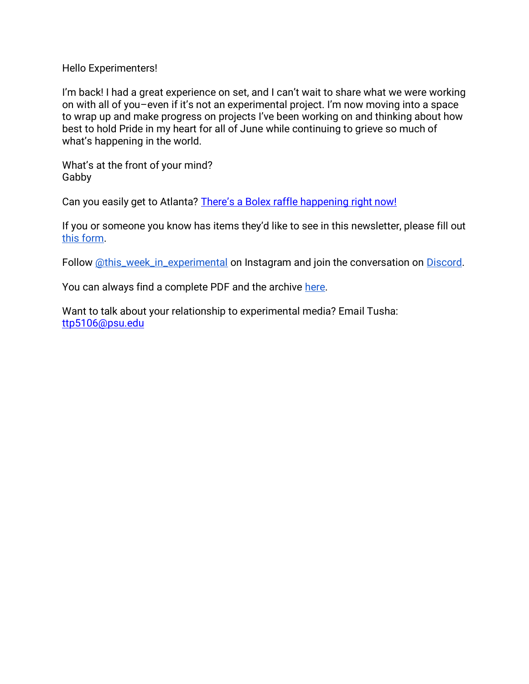#### Hello Experimenters!

I'm back! I had a great experience on set, and I can't wait to share what we were working on with all of you–even if it's not an experimental project. I'm now moving into a space to wrap up and make progress on projects I've been working on and thinking about how best to hold Pride in my heart for all of June while continuing to grieve so much of what's happening in the world.

What's at the front of your mind? Gabby

Can you easily get to Atlanta? [There's a Bolex raffle happening right now!](https://www.instagram.com/p/Ceejo3JOHd3/?utm_source=ig_web_copy_link)

If you or someone you know has items they'd like to see in this newsletter, please fill out [this form.](https://forms.gle/aAtxrz2GTLAHzxNt7)

Follow [@this\\_week\\_in\\_experimental](https://www.instagram.com/this_week_in_experimental/) on Instagram and join the conversation on [Discord.](https://discord.gg/7dtZfbgemg)

You can always find a complete PDF and the archive [here.](https://www.gfollettsumney.com/this-week-in-experimental.html)

Want to talk about your relationship to experimental media? Email Tusha: [ttp5106@psu.edu](mailto:ttp5106@psu.edu)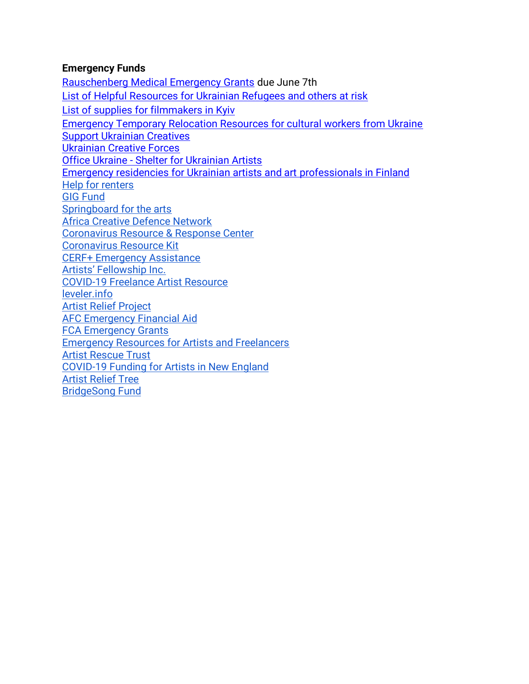## **Emergency Funds**

[Rauschenberg Medical Emergency Grants](https://www.nyfa.org/awards-grants/rauschenberg-medical-emergency-grants/) due June 7th [List of Helpful Resources for Ukrainian Refugees and others at risk](http://oberliht.org/wp-content/uploads/2022/03/List-of-Helpful-Resources-for-Ukrainian-Refugees-and-others-at-risk.pdf) [List of supplies for filmmakers in Kyiv](https://docs.google.com/spreadsheets/d/1AoxkubXX1NVaAONJ27CwAndJxx8GvvYrQqswYYZMqIM/edit#gid=0) [Emergency Temporary Relocation Resources for cultural workers from Ukraine](https://docs.google.com/document/d/1zDP7jpiRj6M_NCTxY5P6A3IDjSaHLSvIsri-Vzb-A7g/edit?usp=sharing) [Support Ukrainian Creatives](https://docs.google.com/forms/d/e/1FAIpQLSc3vkx2iqH45Zl1aaNvlfVrLzf9I5is0vqAs0FZjoQWm-9IHw/viewform?fbclid=IwAR3VtgnvRUgF4VeKuelLqAfBoapxZZDtM157yV-WuKDkumi-qwaq_xqURfk) [Ukrainian Creative Forces](https://docs.google.com/forms/d/e/1FAIpQLSeMw87Reqj7ZlHyZxEf4cfZHgX5P5CLtjCY4LxujRheZRxzVQ/viewform) Office Ukraine - [Shelter for Ukrainian Artists](https://www.bmkoes.gv.at/Kunst-und-Kultur/Neuigkeiten/Office-Ukraine.html) [Emergency residencies for Ukrainian artists and art professionals in Finland](https://koneensaatio.fi/en/news/emergency-residencies/) [Help for renters](https://www.consumerfinance.gov/coronavirus/mortgage-and-housing-assistance/renter-protections/#rental-assistance) [GIG Fund](https://www.artsmidwest.org/programs/gigfund) [Springboard for the arts](https://springboardforthearts.org/coronavirus/) [Africa Creative Defence Network](https://artistsatriskconnection.org/story/amani-africa-creative-defence-network) [Coronavirus Resource & Response Center](https://www.americansforthearts.org/by-topic/disaster-preparedness/coronavirus-covid-19-resource-and-response-center#impact) [Coronavirus Resource Kit](https://docs.google.com/document/u/1/d/1Rcan4C_e6OBFBI5bUn7MtYK74Ab-WarxyJmDvZUI_YA/mobilebasic?urp=gmail_link) [CERF+ Emergency Assistance](https://cerfplus.org/get-relief/apply-for-help/craft-emergency-relief-fund/) [Artists' Fellowship Inc.](https://www.artistsfellowship.org/financial-aid-application) [COVID-19 Freelance Artist Resource](https://www.freelanceartistresource.com/) [leveler.info](https://www.leveler.info/) [Artist Relief Project](https://artistreliefproject.org/request_funding/) [AFC Emergency Financial Aid](https://afchelps.ca/covid-19-guide/) [FCA Emergency Grants](https://www.foundationforcontemporaryarts.org/grants/emergency-grants/) [Emergency Resources for Artists and Freelancers](https://docs.google.com/document/d/1xv238DlW_9HWhJTHr561r8fPaD4BSzOZraDOm2ESyeA/edit) [Artist Rescue Trust](https://artistrescue.org/?fbclid=IwAR2V26dcrdrAzARHGEgfMoo7ftKVU1vXh6pY_PJBAQAPeLo1IsgghDDUU0I) [COVID-19 Funding for Artists in New England](https://newenglandfilm.com/magazine/2020/04/covid-19-funding-for-artists-in-new-england) [Artist Relief Tree](https://artistrelieftree.com/helpful-resources/) [BridgeSong Fund](https://docs.google.com/forms/d/1yRXi5ehvyoJPXKmTx4tAfKU8agpoLHbW2Y-6MYT51eA/viewform?ts=5e7bf119&edit_requested=true)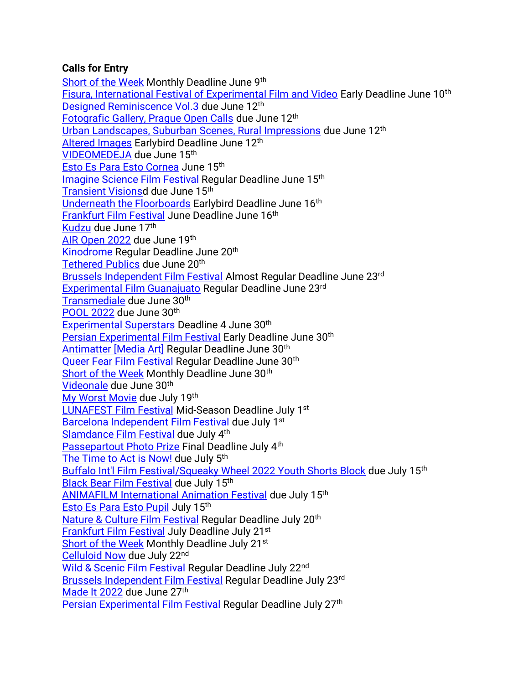# **Calls for Entry**

[Short of the Week](https://filmfreeway.com/shortoftheweek) Monthly Deadline June 9th [Fisura, International Festival of Experimental Film and Video](https://filmfreeway.com/FISURAInternationalFilmFestival?fbclid=IwAR3iJlFVGCEMZq9SoP9f2It8A9hMkF3brJlEvHacUSoJ1YVbIluJcsXvulI) Early Deadline June 10th [Designed Reminiscence Vol.3](https://expcinema.org/site/en/call/designed-reminiscence-vol3-0) due June 12th [Fotografic Gallery, Prague Open Calls](https://fotografic.cz/en/open-call/) due June 12<sup>th</sup> Urban Landscapes, [Suburban Scenes, Rural Impressions](https://www.nyc4pa.com/copy-of-decay-corrosion-rust) due June 12th [Altered Images](https://filmfreeway.com/AlteredImages?fbclid=IwAR303Zuvk4X7G_1Uj2KZ3ltYulh0WNk8vEmUyECj7c3yWiWFRLZatW8JoFI) Earlybird Deadline June 12<sup>th</sup> [VIDEOMEDEJA](http://videomedeja.org/entries/terms-and-conditions/?lang=en&fbclid=IwAR3X0CnMfQ_GUcpUyBA7ez2QdCNhHCT5S3TfyWTPe6WxjKUu3TVGym-qPjE) due June 15th [Esto Es Para Esto Cornea](https://filmfreeway.com/EstoEsParaEsto) June 15<sup>th</sup> [Imagine Science Film Festival](https://filmfreeway.com/ImagineScienceFilmFestival) Regular Deadline June 15th [Transient Visionsd](https://filmfreeway.com/TransientVisions) due June 15th [Underneath the Floorboards](https://filmfreeway.com/MyFilmFestival-534726?fbclid=IwAR0F6CZJgpvTHp_1KMibmwE2mM_tddq6w5s8flWPFyNtLPQsW6G4763HPes) Earlybird Deadline June 16th [Frankfurt Film Festival](https://filmfreeway.com/filmfestfrankfurt) June Deadline June 16th [Kudzu](https://sfqp.info/kudcall) due June 17th [AIR Open 2022](https://www.airgallery.space/opencall?fbclid=IwAR22icSQr4srKuwkOHU8IlKdtEYOp-ftks40Gp4wYJbNPRKuOsMp1mQ2PHU) due June 19th [Kinodrome](https://filmfreeway.com/KinoDrome) Regular Deadline June 20<sup>th</sup> [Tethered Publics](https://tetheredpublics.app/open-call) due June 20<sup>th</sup> [Brussels Independent Film Festival](https://filmfreeway.com/BrusselsFilmFestival) Almost Regular Deadline June 23rd [Experimental Film Guanajuato](https://filmfreeway.com/ExperimentalFilm) Regular Deadline June 23rd [Transmediale](https://data.transmediale.de/assets/uploads/tm23_call_for_proposals.pdf) due June 30th [POOL 2022](https://pool-festival.de/open-call/) due June 30th [Experimental Superstars](https://filmfreeway.com/ExperimentalSuperstars?fbclid=IwAR2oWQx98KIYyakd42hts_Fwnwq3zhDqmX191M1Bj34bsa9NqihowVkTcFA) Deadline 4 June 30<sup>th</sup> [Persian Experimental Film Festival](https://filmfreeway.com/persianexpfilmfest?fbclid=IwAR3k4gt3qoAHgKUnqPQNOaRgZcOAz9mvau1qG-i78xr5ZVMwJ1v-i4CJUQY) Early Deadline June 30<sup>th</sup> Antimatter [\[Media Art\]](https://filmfreeway.com/AntimatterMediaArt) Regular Deadline June 30th [Queer Fear Film Festival](https://filmfreeway.com/QueerFearFilmFestival) Regular Deadline June 30<sup>th</sup> [Short of the Week](https://filmfreeway.com/shortoftheweek) Monthly Deadline June 30<sup>th</sup> [Videonale](https://v19.videonale.org/en/call) due June 30<sup>th</sup> [My Worst Movie](https://www.instagram.com/p/CeEZpZru1F8/?utm_source=ig_web_copy_link) due July 19th [LUNAFEST Film Festival](https://filmfreeway.com/LUNAFEST?action=show&controller=festivals&utm_campaign=Recently+Opened+for+Entries&utm_medium=email&utm_source=filmmaker_newsletter) Mid-Season Deadline July 1<sup>st</sup> [Barcelona Independent Film Festival](https://alternativa.cccb.org/2022/en/2022-call-for-entries/film-submissions) due July 1<sup>st</sup> [Slamdance Film Festival](https://filmfreeway.com/SlamdanceFilmFestival) due July 4th [Passepartout Photo Prize](https://www.passepartoutprize.com/about/) Final Deadline July 4th [The Time to Act is Now!](https://www.worldphoto.org/picture-this) due July 5<sup>th</sup> [Buffalo Int'l Film Festival/Squeaky Wheel 2022 Youth Shorts Block](https://docs.google.com/forms/d/e/1FAIpQLSeNzjnpVORG4uEUNOcxV5-zLuMubBdlFNdbACI2WGcG1cmg5g/viewform) due July 15<sup>th</sup> [Black Bear Film Festival](https://filmfreeway.com/BlackBearFilmFestival) due July 15th [ANIMAFILM International Animation Festival](https://filmfreeway.com/ANIMAFILM-Baku_International_Animation_Festival) due July 15th [Esto Es Para Esto Pupil](https://filmfreeway.com/EstoEsParaEsto) July 15th [Nature & Culture Film Festival](https://filmfreeway.com/poeticphonotheque) Regular Deadline July 20th [Frankfurt Film Festival](https://filmfreeway.com/filmfestfrankfurt) July Deadline July 21st [Short of the Week](https://filmfreeway.com/shortoftheweek) Monthly Deadline July 21<sup>st</sup> [Celluloid Now](https://celluloidnow.org/submissions/) due July 22nd [Wild & Scenic Film Festival](https://filmfreeway.com/WildScenicFilmFestival?action=show&controller=festivals&utm_campaign=Recently+Opened+for+Entries&utm_medium=email&utm_source=filmmaker_newsletter) Regular Deadline July 22<sup>nd</sup> [Brussels Independent Film Festival](https://filmfreeway.com/BrusselsFilmFestival) Regular Deadline July 23rd [Made It 2022](https://www.shortsupply.org/madeit2022) due June 27<sup>th</sup> [Persian Experimental Film Festival](https://filmfreeway.com/persianexpfilmfest?fbclid=IwAR3k4gt3qoAHgKUnqPQNOaRgZcOAz9mvau1qG-i78xr5ZVMwJ1v-i4CJUQY) Regular Deadline July 27<sup>th</sup>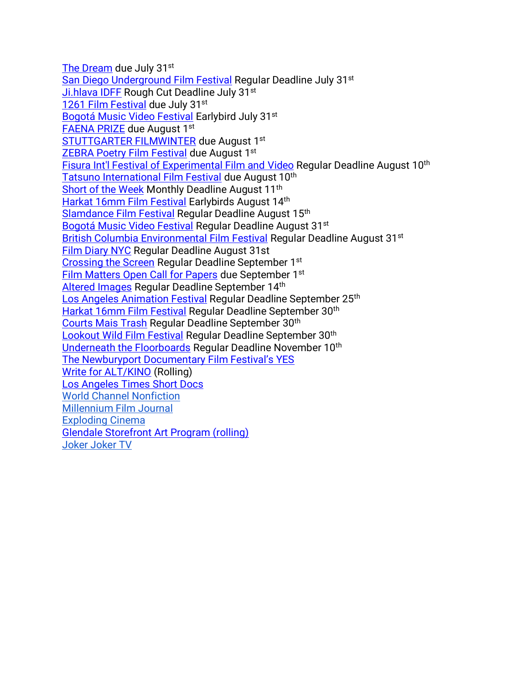[The Dream](https://agoradigital.art/virtual-reality-exhibitions/the-dream/) due July 31<sup>st</sup> [San Diego Underground Film Festival](https://filmfreeway.com/SanDiegoUndergroundFilmFestival) Regular Deadline July 31<sup>st</sup> [Ji.hlava IDFF](https://www.ji-hlava.com/prihlaseni-filmu) Rough Cut Deadline July 31st [1261 Film Festival](https://filmfreeway.com/1261FilmFestival?action=show&controller=festivals&utm_campaign=Recently+Opened+for+Entries&utm_medium=email&utm_source=filmmaker_newsletter) due July 31st [Bogotá Music Video Festival](https://filmfreeway.com/BMVF?action=show&controller=festivals&utm_campaign=Recently+Opened+for+Entries&utm_medium=email&utm_source=filmmaker_newsletter) Earlybird July 31st [FAENA PRIZE](https://www.faenaart.org/programs/faena-prize) due August 1st [STUTTGARTER FILMWINTER](https://filmwinter.de/en) due August 1st [ZEBRA Poetry Film Festival](https://filmfreeway.com/ZEBRAPoetryFilmFestival?action=show&controller=festivals&utm_campaign=Recently+Opened+for+Entries&utm_medium=email&utm_source=filmmaker_newsletter) due August 1st [Fisura Int'l Festival of Experimental Film and](https://filmfreeway.com/FISURAInternationalFilmFestival?fbclid=IwAR3iJlFVGCEMZq9SoP9f2It8A9hMkF3brJlEvHacUSoJ1YVbIluJcsXvulI) Video Regular Deadline August 10th [Tatsuno International Film Festival](https://filmfreeway.com/Tatsuno) due August 10<sup>th</sup> [Short of the Week](https://filmfreeway.com/shortoftheweek) Monthly Deadline August 11<sup>th</sup> [Harkat 16mm Film Festival](https://filmfreeway.com/16mmfilmfestival) Earlybirds August 14th [Slamdance Film Festival](https://filmfreeway.com/SlamdanceFilmFestival) Regular Deadline August 15th [Bogotá Music Video Festival](https://filmfreeway.com/BMVF?action=show&controller=festivals&utm_campaign=Recently+Opened+for+Entries&utm_medium=email&utm_source=filmmaker_newsletter) Regular Deadline August 31<sup>st</sup> [British Columbia Environmental Film Festival](https://filmfreeway.com/BritishColumbiaEnvironmentalFilmFestivalBCEFF?action=show&controller=festivals&utm_campaign=British+Columbia+Environmental+Film+Festival&utm_medium=External&utm_source=Submission+Button) Regular Deadline August 31<sup>st</sup> [Film Diary NYC](https://filmfreeway.com/FilmDiary) Regular Deadline August 31st [Crossing the Screen](https://filmfreeway.com/Crossingthescreen) Regular Deadline September 1<sup>st</sup> [Film Matters Open Call for Papers](https://www.filmmattersmagazine.com/2022/04/04/open-call-for-papers-14-1/) due September 1<sup>st</sup> [Altered Images](https://filmfreeway.com/AlteredImages?fbclid=IwAR303Zuvk4X7G_1Uj2KZ3ltYulh0WNk8vEmUyECj7c3yWiWFRLZatW8JoFI) Regular Deadline September 14<sup>th</sup> [Los Angeles Animation Festival](https://filmfreeway.com/LAAF) Regular Deadline September 25<sup>th</sup> [Harkat 16mm Film Festival](https://filmfreeway.com/16mmfilmfestival) Regular Deadline September 30<sup>th</sup> [Courts Mais Trash](https://filmfreeway.com/CourtsMaisTrash) Regular Deadline September 30<sup>th</sup> [Lookout Wild Film Festival](https://filmfreeway.com/LookoutWildFilmFestival) Regular Deadline September 30th [Underneath the Floorboards](https://filmfreeway.com/MyFilmFestival-534726?fbclid=IwAR0F6CZJgpvTHp_1KMibmwE2mM_tddq6w5s8flWPFyNtLPQsW6G4763HPes) Regular Deadline November 10<sup>th</sup> [The Newburyport Documentary Film Festival's YES](https://www.nbptdocufest.org/festival/yes-film-submissions) [Write for ALT/KINO](https://www.altkino.com/write-for-us) (Rolling) [Los Angeles Times Short Docs](https://www.latimes.com/about/short-docs/story/2022-01-05/short-docs-submission-form?fbclid=IwAR2kBZ4XtBO-Kw8HE5RHd_1iqA37uspVgOroBF77fLnm0pRAPsPFAE8l5Bs) [World Channel Nonfiction](https://worldchannel.org/submit/filmmaker/) [Millennium Film Journal](https://millenniumfilmjournal.com/submissions/) [Exploding Cinema](https://explodingcinema.org/2020/submit-film/) [Glendale Storefront Art Program \(rolling\)](https://www.glendaleca.gov/government/departments/library-arts-culture/arts-culture-commission/storefront-art-program-artist-application) [Joker Joker TV](http://jokerjokertv.com/submit/?fbclid=IwAR2sJ1ia0y_CTjVkhRp940ItD3O-6ZxbpUdzjq40jT_XcyMJUWPIlJil53Y)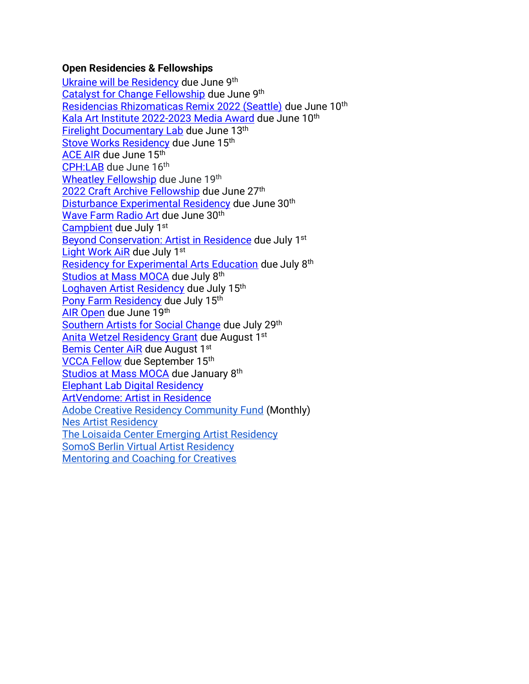## **Open Residencies & Fellowships**

[Ukraine will be Residency](https://instytutkultury.pl/en/news/ukraine-will-be/) due June 9th [Catalyst for Change Fellowship](https://www.nalac.org/grants/nalac-fund-for-the-arts/catalyst-for-change-award/) due June 9th [Residencias Rhizomaticas Remix 2022 \(Seattle\)](https://docs.google.com/forms/d/e/1FAIpQLSdW0ytHbzN5Qp1rgIYfPTCI_r6iLD8ogABA1HpQXC1N97cwyg/viewform) due June 10th [Kala Art Institute 2022-2023 Media Award](https://kala.slideroom.com/#/login/program/66351) due June 10th [Firelight Documentary Lab](https://www.firelightmedia.tv/programs/documentary-lab) due June 13th [Stove Works Residency](https://www.stoveworks.org/residency) due June 15<sup>th</sup> [ACE AIR](https://altacommunity.org/artist-in-residence) due June 15th [CPH:LAB](https://cphdox.dk/lab/call-for-projects/) due June 16th [Wheatley Fellowship](https://eastsideprojects.org/projects/apply-now-wheatley-fellowship-2022-23-open-call/) due June 19th [2022 Craft Archive Fellowship](https://centerforcraft.slideroom.com/#/login/program/66371) due June 27th [Disturbance Experimental Residency](http://uglyduck.org.uk/portfolio_page/disturbance4/) due June 30<sup>th</sup> [Wave Farm Radio Art](https://wavefarm.org/radio/wgxc/calendar/0nayyg) due June 30<sup>th</sup> [Campbient](https://realmorereal.org/campbient-application/) due July 1st [Beyond Conservation: Artist in Residence](https://www.studioverdeair.com/applyperu) due July 1st [Light Work AiR](https://lightwork.slideroom.com/#/login/program/61227) due July 1st [Residency for Experimental Arts Education](https://cmany.org/cma-artist-educator-residency/) due July 8th [Studios at Mass MOCA](https://www.assetsforartists.org/applying) due July 8<sup>th</sup> [Loghaven Artist Residency](https://loghaven.org/residencies/apply/) due July 15th [Pony Farm Residency](https://www.theponyfarm.com/open-call) due July 15th [AIR Open](https://www.airgallery.space/opencall?fbclid=IwAR0O9RLLFTis3q4ir5WYNWtgVjCz0hhMPwh8Io_mgGwBxkEtruQSvOviQnE) due June 19th [Southern Artists for Social Change](https://npnweb.org/programs/southern-artists-for-social-change/) due July 29th [Anita Wetzel Residency Grant](https://wsworkshop.org/residencies/anita-wetzel-studio-residency/) due August 1st [Bemis Center AiR](https://bemis.slideroom.com/#/login) due August 1st [VCCA Fellow](https://www.vcca.com/apply/) due September 15th [Studios at Mass MOCA](https://www.assetsforartists.org/applying) due January 8<sup>th</sup> [Elephant Lab Digital Residency](https://elephant.art/lab/) [ArtVendome: Artist in Residence](https://www.vendomehotel.com/artvendome) [Adobe Creative Residency Community Fund](https://adobe.smapply.io/prog/adobe_creative_residency_community_fund_/) (Monthly) [Nes Artist Residency](https://docs.google.com/forms/d/e/1FAIpQLSfbokgQ5Jq5ZYa9y87lK9xq7n0yOJq8flXXNTNovTf2MRYg1w/viewform?formkey=dGM1OUN1R2xwYWl6eDgzZXJmU2YtVEE6MQ) [The Loisaida Center Emerging Artist Residency](https://docs.google.com/forms/d/e/1FAIpQLSdlETDquK-aDjonTcv-93WfUch04Bt0PLLYply6JxsmDzOfeA/viewform) [SomoS Berlin Virtual Artist Residency](https://www.somos-arts.org/somos-berlin-virtual-artist-residency/?fbclid=IwAR3hGjPBwOPyqSVfwDXjZx30jYu0cAD7YoPoXntyJXMapUVrRRHkIm9pbyQ) [Mentoring and Coaching for Creatives](https://www.artistmentor.co.uk/registration-and-booking/)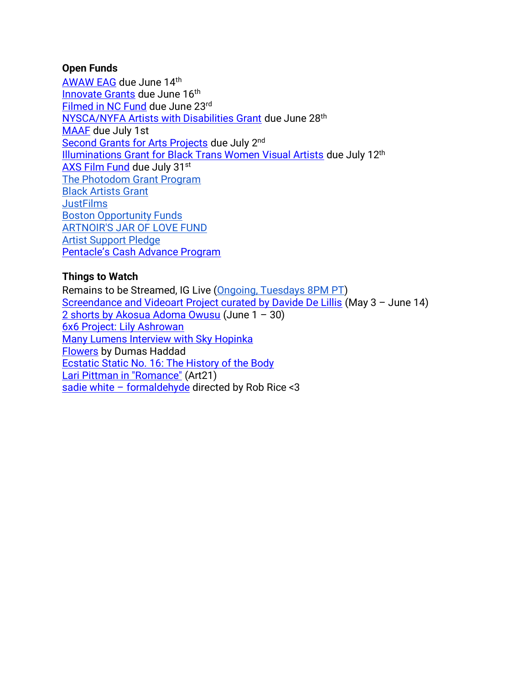#### **Open Funds**

[AWAW EAG](https://www.nyfa.org/awards-grants/anonymous-was-a-woman-environmental-art-grants/) due June 14th [Innovate Grants](https://innovateartistgrants.org/about-us) due June 16<sup>th</sup> [Filmed in NC Fund](https://www.cucalorus.org/programs/filmedinnc/) due June 23rd [NYSCA/NYFA Artists with Disabilities Grant](https://www.nyfa.org/awards-grants/nysca-nyfa-artists-with-disabilities-grant/?mc_cid=9843227a03&mc_eid=90f30b4dbb) due June 28<sup>th</sup> [MAAF](https://wavefarm.org/grants/maaf-artists/about?fbclid=IwAR2K4YF-u4v8bw4A5R6f6Hl-NZxz_zhf1SRqLIEnlOtGc1Bf7ouoNUk6IVM) due July 1st [Second Grants for Arts Projects](https://www.arts.gov/grants/grants-for-arts-projects/media-arts) due July 2<sup>nd</sup> [Illuminations Grant for Black Trans Women Visual Artists](https://www.queer-art.org/illuminations-grant?mc_cid=dadd1b2155&mc_eid=90f30b4dbb) due July 12<sup>th</sup> [AXS Film Fund](https://www.axsfilmfund.org/) due July 31st [The Photodom Grant Program](https://photodom.shop/grant-program/?mc_cid=c5f90928a3&mc_eid=3e589c1a44) [Black Artists Grant](https://creativedebuts.co.uk/bag/) **[JustFilms](https://www.fordfoundation.org/work/our-grants/justfilms/justfilms-inquiry/)** [Boston Opportunity Funds](https://cityofbostonartsandculture.submittable.com/submit) [ARTNOIR'S JAR OF LOVE FUND](https://docs.google.com/forms/d/e/1FAIpQLSf1Lt2O1w5BlC2F4qfoBW6m-5P1eLunaUx0PL1sN9uybTV_6A/viewform) [Artist Support Pledge](https://artistsupportpledge.com/) [Pentacle's Cash Advance Program](https://www.pentacle.org/new-initiatives/cash-advance-program/)

# **Things to Watch**

Remains to be Streamed, IG Live [\(Ongoing, Tuesdays 8PM PT\)](https://www.instagram.com/preservationinsanity/) [Screendance and Videoart Project curated by Davide De Lillis](https://www.visualcontainer.tv/?fbclid=IwAR2rc5oMUdu_H8QEX6R5inWSYYn8YwcII7brHQhkS0zqsDvz8m-lq-3JrE4) (May 3 – June 14) [2 shorts by Akosua Adoma Owusu](https://www.e-flux.com/video/programs/471968/akosua-adoma-owusu/) (June 1 – 30) [6x6 Project: Lily Ashrowan](https://6x6project.com/portfolio/lily-ashrowan/) [Many Lumens Interview with Sky Hopinka](https://www.blackstarfest.org/manylumens/season-2/sky-hopinka/) [Flowers](https://vimeo.com/707084804?embedded=true&source=vimeo_logo&owner=23898406) by Dumas Haddad [Ecstatic Static No. 16: The History of the Body](https://www.ecstaticstatic.com/screenings/815) [Lari Pittman in "Romance"](https://art21.org/watch/art-in-the-twenty-first-century/s4/lari-pittman-in-romance-segment/?utm_source=instagram.com&utm_medium=referral&utm_content=ig_bio_link&utm_campaign=Art21_Instagram) (Art21) sadie white – [formaldehyde](https://www.youtube.com/watch?v=5RaIA4Q7t-k&ab_channel=sadiewhite) directed by Rob Rice <3